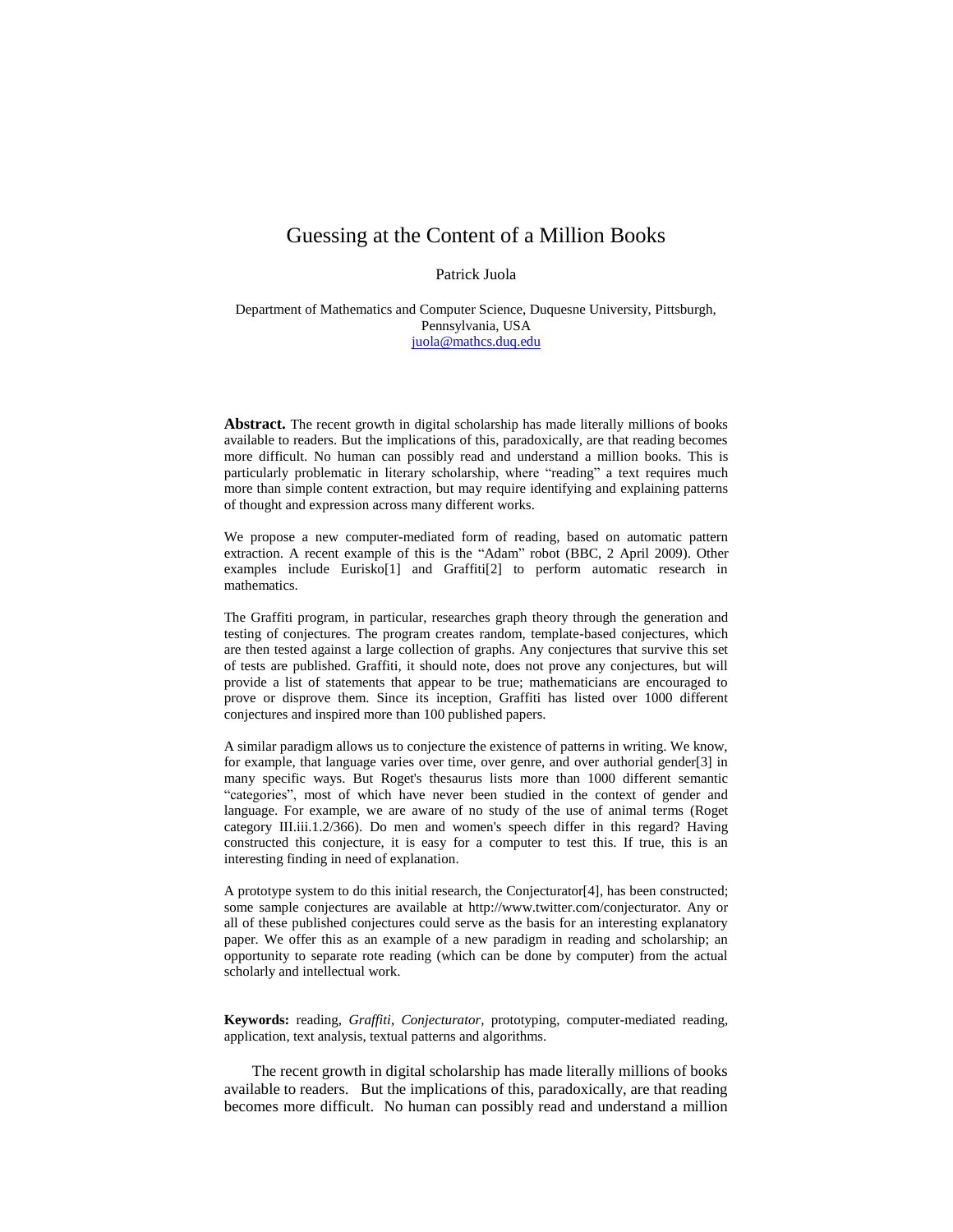## Guessing at the Content of a Million Books

Patrick Juola

Department of Mathematics and Computer Science, Duquesne University, Pittsburgh, Pennsylvania, USA [juola@mathcs.duq.edu](mailto:juola@mathcs.duq.edu)

**Abstract.** The recent growth in digital scholarship has made literally millions of books available to readers. But the implications of this, paradoxically, are that reading becomes more difficult. No human can possibly read and understand a million books. This is particularly problematic in literary scholarship, where "reading" a text requires much more than simple content extraction, but may require identifying and explaining patterns of thought and expression across many different works.

We propose a new computer-mediated form of reading, based on automatic pattern extraction. A recent example of this is the "Adam" robot (BBC, 2 April 2009). Other examples include Eurisko[1] and Graffiti[2] to perform automatic research in mathematics.

The Graffiti program, in particular, researches graph theory through the generation and testing of conjectures. The program creates random, template-based conjectures, which are then tested against a large collection of graphs. Any conjectures that survive this set of tests are published. Graffiti, it should note, does not prove any conjectures, but will provide a list of statements that appear to be true; mathematicians are encouraged to prove or disprove them. Since its inception, Graffiti has listed over 1000 different conjectures and inspired more than 100 published papers.

A similar paradigm allows us to conjecture the existence of patterns in writing. We know, for example, that language varies over time, over genre, and over authorial gender[3] in many specific ways. But Roget's thesaurus lists more than 1000 different semantic "categories", most of which have never been studied in the context of gender and language. For example, we are aware of no study of the use of animal terms (Roget category III.iii.1.2/366). Do men and women's speech differ in this regard? Having constructed this conjecture, it is easy for a computer to test this. If true, this is an interesting finding in need of explanation.

A prototype system to do this initial research, the Conjecturator[4], has been constructed; some sample conjectures are available at http://www.twitter.com/conjecturator. Any or all of these published conjectures could serve as the basis for an interesting explanatory paper. We offer this as an example of a new paradigm in reading and scholarship; an opportunity to separate rote reading (which can be done by computer) from the actual scholarly and intellectual work.

**Keywords:** reading, *Graffiti*, *Conjecturator,* prototyping, computer-mediated reading, application, text analysis, textual patterns and algorithms.

The recent growth in digital scholarship has made literally millions of books available to readers. But the implications of this, paradoxically, are that reading becomes more difficult. No human can possibly read and understand a million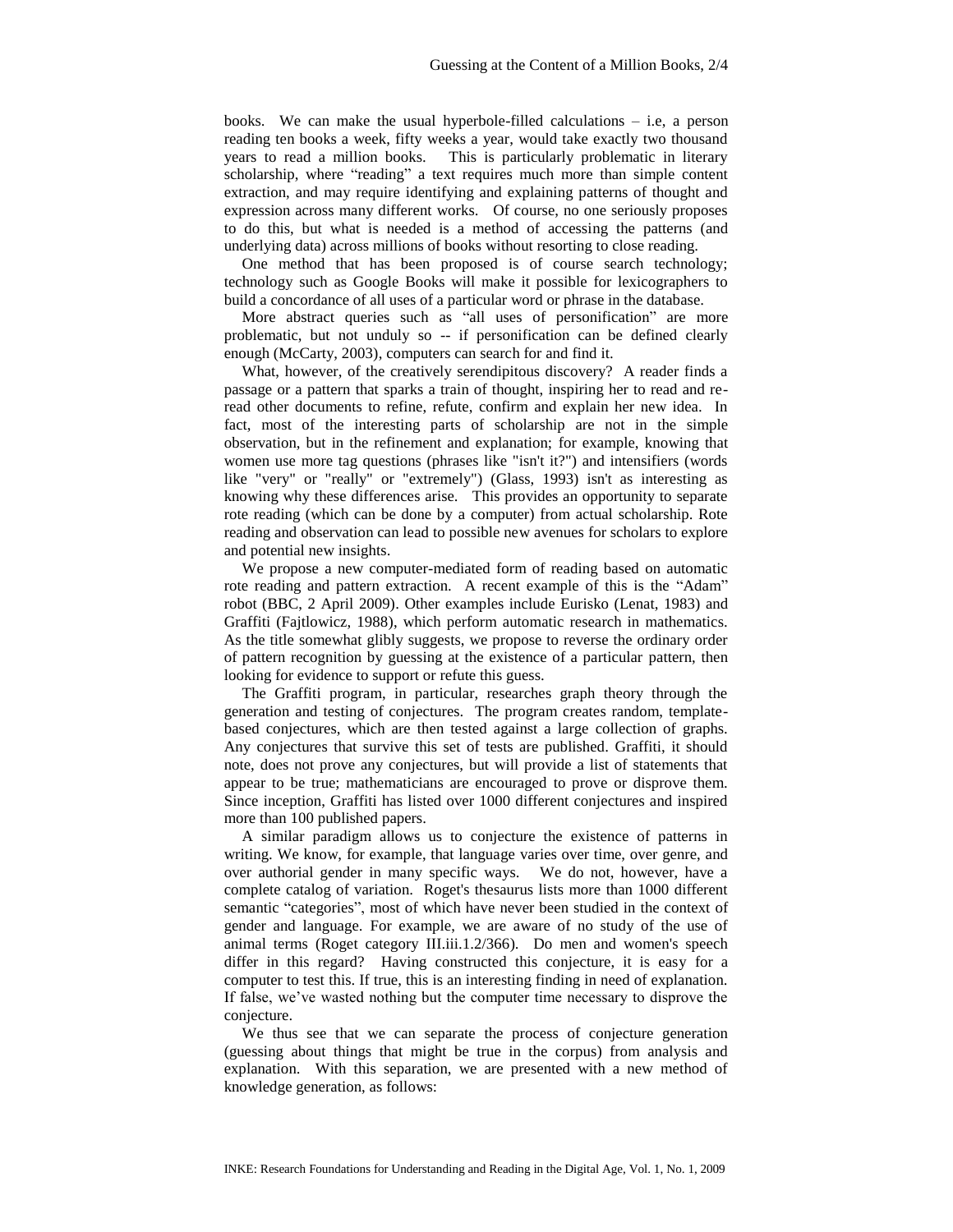books. We can make the usual hyperbole-filled calculations – i.e, a person reading ten books a week, fifty weeks a year, would take exactly two thousand years to read a million books. This is particularly problematic in literary scholarship, where "reading" a text requires much more than simple content extraction, and may require identifying and explaining patterns of thought and expression across many different works. Of course, no one seriously proposes to do this, but what is needed is a method of accessing the patterns (and underlying data) across millions of books without resorting to close reading.

One method that has been proposed is of course search technology; technology such as Google Books will make it possible for lexicographers to build a concordance of all uses of a particular word or phrase in the database.

More abstract queries such as "all uses of personification" are more problematic, but not unduly so -- if personification can be defined clearly enough (McCarty, 2003), computers can search for and find it.

What, however, of the creatively serendipitous discovery? A reader finds a passage or a pattern that sparks a train of thought, inspiring her to read and reread other documents to refine, refute, confirm and explain her new idea. In fact, most of the interesting parts of scholarship are not in the simple observation, but in the refinement and explanation; for example, knowing that women use more tag questions (phrases like "isn't it?") and intensifiers (words like "very" or "really" or "extremely") (Glass, 1993) isn't as interesting as knowing why these differences arise. This provides an opportunity to separate rote reading (which can be done by a computer) from actual scholarship. Rote reading and observation can lead to possible new avenues for scholars to explore and potential new insights.

We propose a new computer-mediated form of reading based on automatic rote reading and pattern extraction. A recent example of this is the "Adam" robot (BBC, 2 April 2009). Other examples include Eurisko (Lenat, 1983) and Graffiti (Fajtlowicz, 1988), which perform automatic research in mathematics. As the title somewhat glibly suggests, we propose to reverse the ordinary order of pattern recognition by guessing at the existence of a particular pattern, then looking for evidence to support or refute this guess.

The Graffiti program, in particular, researches graph theory through the generation and testing of conjectures. The program creates random, templatebased conjectures, which are then tested against a large collection of graphs. Any conjectures that survive this set of tests are published. Graffiti, it should note, does not prove any conjectures, but will provide a list of statements that appear to be true; mathematicians are encouraged to prove or disprove them. Since inception, Graffiti has listed over 1000 different conjectures and inspired more than 100 published papers.

A similar paradigm allows us to conjecture the existence of patterns in writing. We know, for example, that language varies over time, over genre, and over authorial gender in many specific ways. We do not, however, have a complete catalog of variation. Roget's thesaurus lists more than 1000 different semantic "categories", most of which have never been studied in the context of gender and language. For example, we are aware of no study of the use of animal terms (Roget category III.iii.1.2/366). Do men and women's speech differ in this regard? Having constructed this conjecture, it is easy for a computer to test this. If true, this is an interesting finding in need of explanation. If false, we've wasted nothing but the computer time necessary to disprove the conjecture.

We thus see that we can separate the process of conjecture generation (guessing about things that might be true in the corpus) from analysis and explanation. With this separation, we are presented with a new method of knowledge generation, as follows: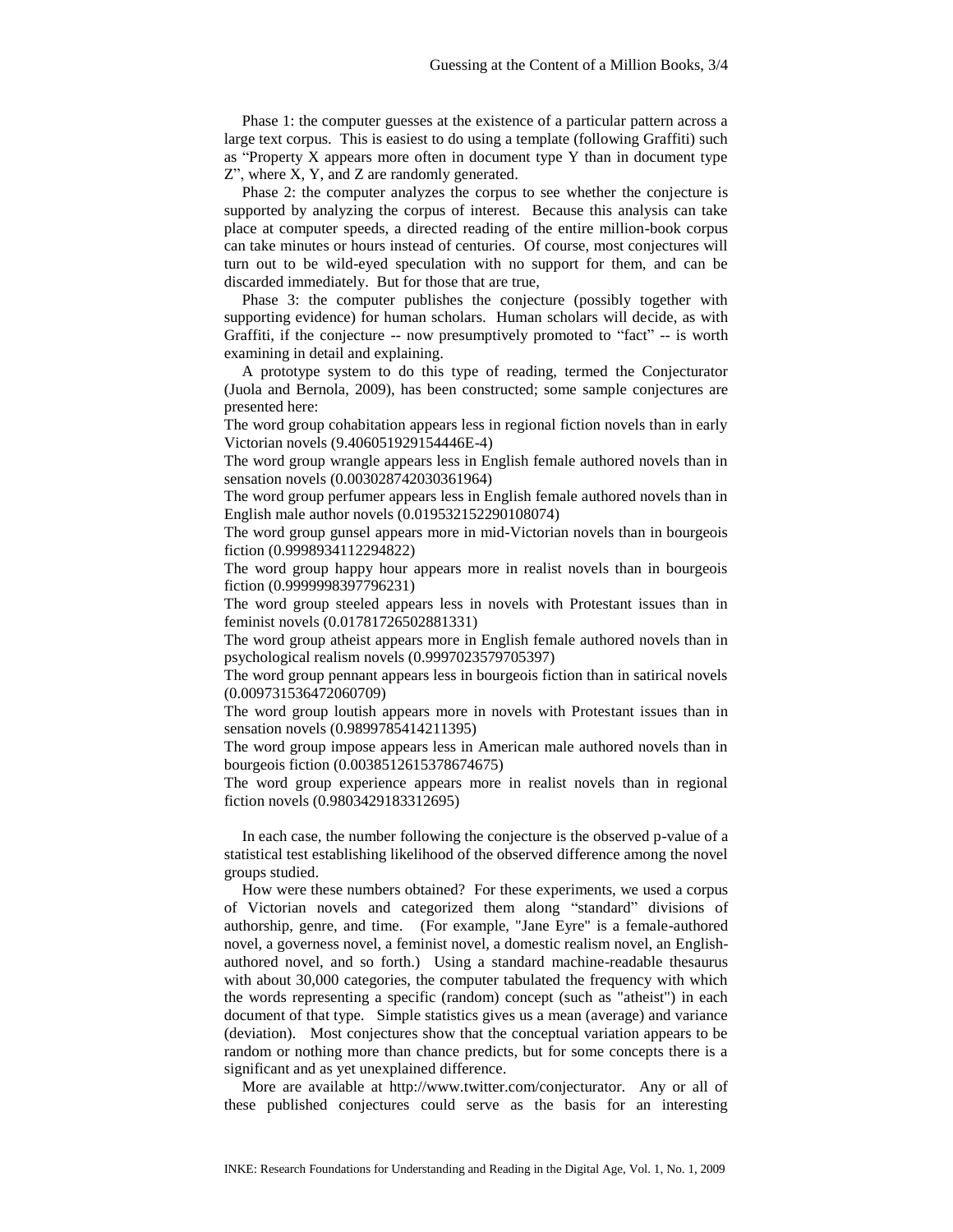Phase 1: the computer guesses at the existence of a particular pattern across a large text corpus. This is easiest to do using a template (following Graffiti) such as "Property X appears more often in document type Y than in document type Z", where X, Y, and Z are randomly generated.

Phase 2: the computer analyzes the corpus to see whether the conjecture is supported by analyzing the corpus of interest. Because this analysis can take place at computer speeds, a directed reading of the entire million-book corpus can take minutes or hours instead of centuries. Of course, most conjectures will turn out to be wild-eyed speculation with no support for them, and can be discarded immediately. But for those that are true,

Phase 3: the computer publishes the conjecture (possibly together with supporting evidence) for human scholars. Human scholars will decide, as with Graffiti, if the conjecture -- now presumptively promoted to "fact" -- is worth examining in detail and explaining.

A prototype system to do this type of reading, termed the Conjecturator (Juola and Bernola, 2009), has been constructed; some sample conjectures are presented here:

The word group cohabitation appears less in regional fiction novels than in early Victorian novels (9.406051929154446E-4)

The word group wrangle appears less in English female authored novels than in sensation novels (0.003028742030361964)

The word group perfumer appears less in English female authored novels than in English male author novels (0.019532152290108074)

The word group gunsel appears more in mid-Victorian novels than in bourgeois fiction (0.9998934112294822)

The word group happy hour appears more in realist novels than in bourgeois fiction (0.9999998397796231)

The word group steeled appears less in novels with Protestant issues than in feminist novels (0.01781726502881331)

The word group atheist appears more in English female authored novels than in psychological realism novels (0.9997023579705397)

The word group pennant appears less in bourgeois fiction than in satirical novels (0.009731536472060709)

The word group loutish appears more in novels with Protestant issues than in sensation novels (0.9899785414211395)

The word group impose appears less in American male authored novels than in bourgeois fiction (0.0038512615378674675)

The word group experience appears more in realist novels than in regional fiction novels (0.9803429183312695)

In each case, the number following the conjecture is the observed p-value of a statistical test establishing likelihood of the observed difference among the novel groups studied.

How were these numbers obtained? For these experiments, we used a corpus of Victorian novels and categorized them along "standard" divisions of authorship, genre, and time. (For example, "Jane Eyre" is a female-authored novel, a governess novel, a feminist novel, a domestic realism novel, an Englishauthored novel, and so forth.) Using a standard machine-readable thesaurus with about 30,000 categories, the computer tabulated the frequency with which the words representing a specific (random) concept (such as "atheist") in each document of that type. Simple statistics gives us a mean (average) and variance (deviation). Most conjectures show that the conceptual variation appears to be random or nothing more than chance predicts, but for some concepts there is a significant and as yet unexplained difference.

More are available at http://www.twitter.com/conjecturator. Any or all of these published conjectures could serve as the basis for an interesting